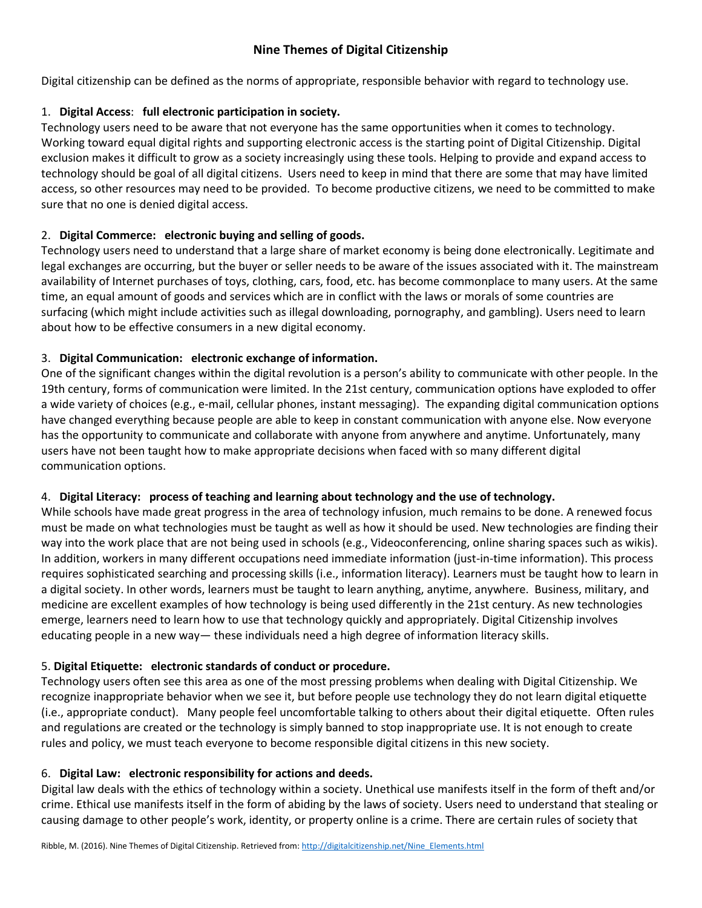# **Nine Themes of Digital Citizenship**

Digital citizenship can be defined as the norms of appropriate, responsible behavior with regard to technology use.

## 1. **Digital Access**: **full electronic participation in society.**

Technology users need to be aware that not everyone has the same opportunities when it comes to technology. Working toward equal digital rights and supporting electronic access is the starting point of Digital Citizenship. Digital exclusion makes it difficult to grow as a society increasingly using these tools. Helping to provide and expand access to technology should be goal of all digital citizens. Users need to keep in mind that there are some that may have limited access, so other resources may need to be provided. To become productive citizens, we need to be committed to make sure that no one is denied digital access.

## 2. **Digital Commerce: electronic buying and selling of goods.**

Technology users need to understand that a large share of market economy is being done electronically. Legitimate and legal exchanges are occurring, but the buyer or seller needs to be aware of the issues associated with it. The mainstream availability of Internet purchases of toys, clothing, cars, food, etc. has become commonplace to many users. At the same time, an equal amount of goods and services which are in conflict with the laws or morals of some countries are surfacing (which might include activities such as illegal downloading, pornography, and gambling). Users need to learn about how to be effective consumers in a new digital economy.

## 3. **Digital Communication: electronic exchange of information.**

One of the significant changes within the digital revolution is a person's ability to communicate with other people. In the 19th century, forms of communication were limited. In the 21st century, communication options have exploded to offer a wide variety of choices (e.g., e-mail, cellular phones, instant messaging). The expanding digital communication options have changed everything because people are able to keep in constant communication with anyone else. Now everyone has the opportunity to communicate and collaborate with anyone from anywhere and anytime. Unfortunately, many users have not been taught how to make appropriate decisions when faced with so many different digital communication options.

## 4. **Digital Literacy: process of teaching and learning about technology and the use of technology.**

While schools have made great progress in the area of technology infusion, much remains to be done. A renewed focus must be made on what technologies must be taught as well as how it should be used. New technologies are finding their way into the work place that are not being used in schools (e.g., Videoconferencing, online sharing spaces such as wikis). In addition, workers in many different occupations need immediate information (just-in-time information). This process requires sophisticated searching and processing skills (i.e., information literacy). Learners must be taught how to learn in a digital society. In other words, learners must be taught to learn anything, anytime, anywhere. Business, military, and medicine are excellent examples of how technology is being used differently in the 21st century. As new technologies emerge, learners need to learn how to use that technology quickly and appropriately. Digital Citizenship involves educating people in a new way— these individuals need a high degree of information literacy skills.

## 5. **Digital Etiquette: electronic standards of conduct or procedure.**

Technology users often see this area as one of the most pressing problems when dealing with Digital Citizenship. We recognize inappropriate behavior when we see it, but before people use technology they do not learn digital etiquette (i.e., appropriate conduct). Many people feel uncomfortable talking to others about their digital etiquette. Often rules and regulations are created or the technology is simply banned to stop inappropriate use. It is not enough to create rules and policy, we must teach everyone to become responsible digital citizens in this new society.

## 6. **Digital Law: electronic responsibility for actions and deeds.**

Digital law deals with the ethics of technology within a society. Unethical use manifests itself in the form of theft and/or crime. Ethical use manifests itself in the form of abiding by the laws of society. Users need to understand that stealing or causing damage to other people's work, identity, or property online is a crime. There are certain rules of society that